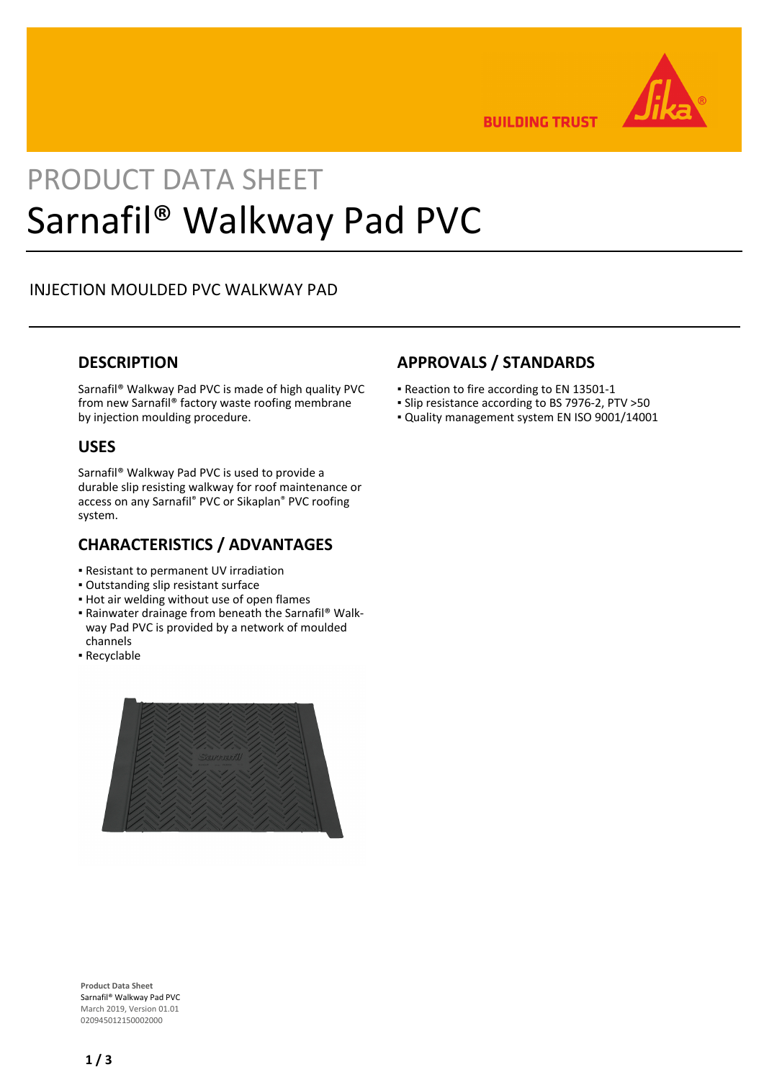

**BUILDING TRUST** 

# PRODUCT DATA SHEET Sarnafil® Walkway Pad PVC

# INJECTION MOULDED PVC WALKWAY PAD

## **DESCRIPTION**

Sarnafil® Walkway Pad PVC is made of high quality PVC from new Sarnafil® factory waste roofing membrane by injection moulding procedure.

#### **USES**

Sarnafil® Walkway Pad PVC is used to provide a durable slip resisting walkway for roof maintenance or access on any Sarnafil® PVC or Sikaplan® PVC roofing system.

## **CHARACTERISTICS / ADVANTAGES**

- Resistant to permanent UV irradiation
- Outstanding slip resistant surface
- **.** Hot air welding without use of open flames
- Rainwater drainage from beneath the Sarnafil® Walk-▪ way Pad PVC is provided by a network of moulded channels
- Recyclable



# **APPROVALS / STANDARDS**

- Reaction to fire according to EN 13501-1
- Slip resistance according to BS 7976-2, PTV >50
- Quality management system EN ISO 9001/14001

**Product Data Sheet** Sarnafil® Walkway Pad PVC March 2019, Version 01.01 020945012150002000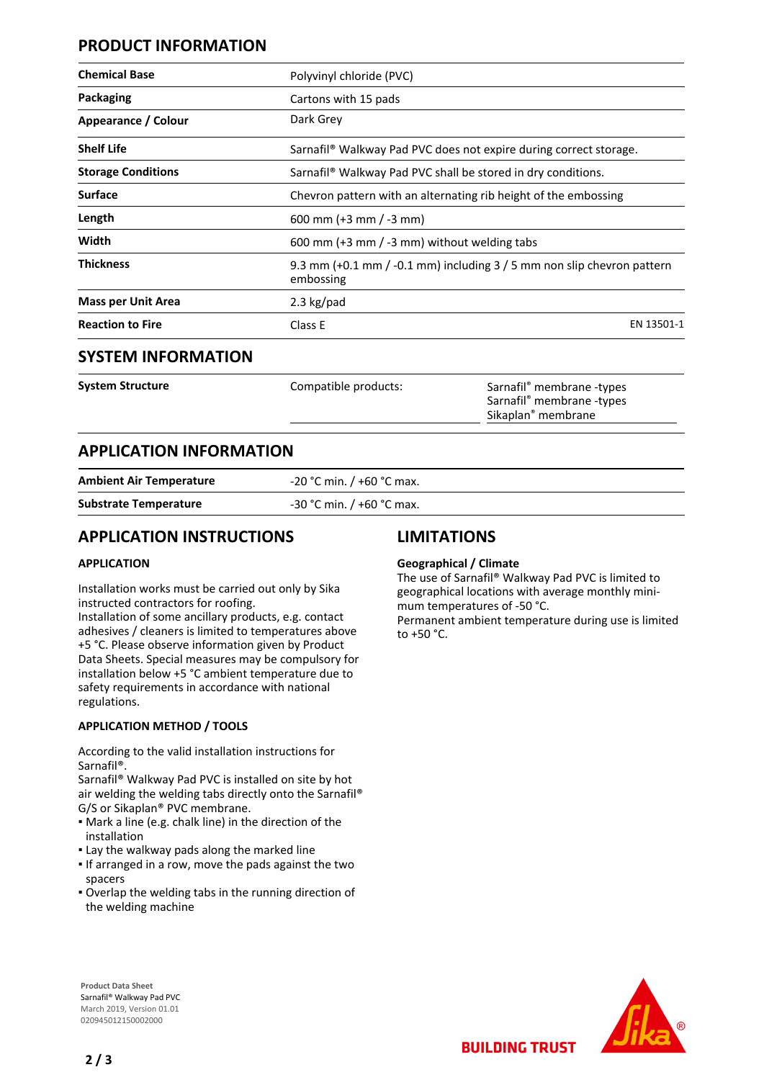# **PRODUCT INFORMATION**

| Polyvinyl chloride (PVC)                                                               |            |
|----------------------------------------------------------------------------------------|------------|
| Cartons with 15 pads                                                                   |            |
| Dark Grey                                                                              |            |
| Sarnafil <sup>®</sup> Walkway Pad PVC does not expire during correct storage.          |            |
| Sarnafil <sup>®</sup> Walkway Pad PVC shall be stored in dry conditions.               |            |
| Chevron pattern with an alternating rib height of the embossing                        |            |
| 600 mm (+3 mm / -3 mm)                                                                 |            |
| 600 mm (+3 mm / -3 mm) without welding tabs                                            |            |
| 9.3 mm $(+0.1$ mm $(-0.1$ mm) including $3/5$ mm non slip chevron pattern<br>embossing |            |
| 2.3 $kg$ /pad                                                                          |            |
| Class E                                                                                | EN 13501-1 |
|                                                                                        |            |

#### **SYSTEM INFORMATION**

| System Structure | Compatible products: | Sarnafil <sup>®</sup> membrane -types<br>Sarnafil <sup>®</sup> membrane -types<br>Sikaplan <sup>®</sup> membrane |
|------------------|----------------------|------------------------------------------------------------------------------------------------------------------|
|                  |                      |                                                                                                                  |

# **APPLICATION INFORMATION**

**Ambient Air Temperature** -20 °C min. / +60 °C max.

**Substrate Temperature** -30 °C min. / +60 °C max.

## **APPLICATION INSTRUCTIONS**

#### **APPLICATION**

Installation works must be carried out only by Sika instructed contractors for roofing.

Installation of some ancillary products, e.g. contact adhesives / cleaners is limited to temperatures above +5 °C. Please observe information given by Product Data Sheets. Special measures may be compulsory for installation below +5 °C ambient temperature due to safety requirements in accordance with national regulations.

#### **APPLICATION METHOD / TOOLS**

According to the valid installation instructions for Sarnafil®.

Sarnafil® Walkway Pad PVC is installed on site by hot air welding the welding tabs directly onto the Sarnafil® G/S or Sikaplan® PVC membrane.

- Mark a line (e.g. chalk line) in the direction of the installation
- **.** Lay the walkway pads along the marked line
- If arranged in a row, move the pads against the two spacers
- Overlap the welding tabs in the running direction of the welding machine

## **LIMITATIONS**

#### **Geographical / Climate**

The use of Sarnafil® Walkway Pad PVC is limited to geographical locations with average monthly minimum temperatures of -50 °C. Permanent ambient temperature during use is limited to  $+50$  °C.

**BUILDING TRUST** 



**Product Data Sheet** Sarnafil® Walkway Pad PVC March 2019, Version 01.01 020945012150002000